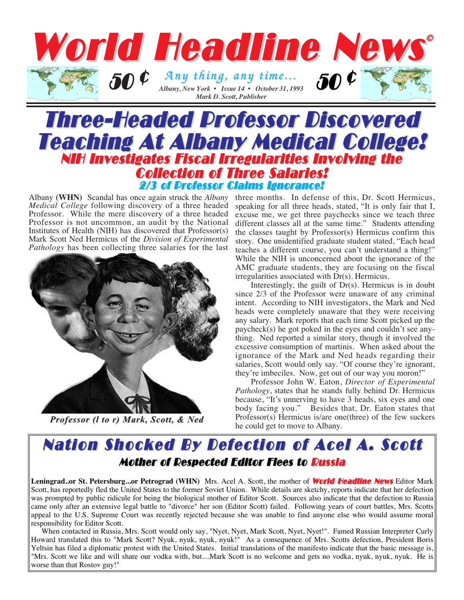

## Three-Headed Professor Discovered Teaching At Albany Medical College! NIH Investigates Fiscal Irregularities Involving the Collection of Three Salaries! 2/3 of Professor Claims Ignorance!

*Medical College* following discovery of a three headed Professor*.* While the mere discovery of a three headed Professor is not uncommon, an audit by the National Institutes of Health (NIH) has discovered that Professor(s) Mark Scott Ned Hermicus of the *Division of Experimental Pathology* has been collecting three salaries for the last



*Professor (l to r) Mark, Scott, & Ned* 

Albany **(WHN)** Scandal has once again struck the *Albany* three months. In defense of this, Dr. Scott Hermicus, speaking for all three heads, stated, "It is only fair that I, excuse me, we get three paychecks since we teach three different classes all at the same time." Students attending the classes taught by Professor(s) Hermicus confirm this story. One unidentified graduate student stated, "Each head teaches a different course, you can't understand a thing!" While the NIH is unconcerned about the ignorance of the AMC graduate students, they are focusing on the fiscal irregularities associated with Dr(s). Hermicus.

> Interestingly, the guilt of Dr(s). Hermicus is in doubt since 2/3 of the Professor were unaware of any criminal intent. According to NIH investigators, the Mark and Ned heads were completely unaware that they were receiving any salary. Mark reports that each time Scott picked up the paycheck(s) he got poked in the eyes and couldn't see anything. Ned reported a similar story, though it involved the excessive consumption of martinis. When asked about the ignorance of the Mark and Ned heads regarding their salaries, Scott would only say. "Of course they're ignorant, they're imbeciles. Now, get out of our way you moron!"

> Professor John W. Eaton, *Director of Experimental Pathology*, states that he stands fully behind Dr. Hermicus because, "It's unnerving to have 3 heads, six eyes and one body facing you." Besides that, Dr. Eaton states that Professor(s) Hermicus is/are one(three) of the few suckers he could get to move to Albany.

### Nation Shocked By Defection of Acel A. Scott Mother of Respected Editor Flees to Russia

Leningrad..or St. Petersburg...or Petrograd (WHN) Mrs. Acel A. Scott, the mother of **World Headline News** Editor Mark Scott, has reportedly fled the United States to the former Soviet Union. While details are sketchy, reports indicate that her defection was prompted by public ridicule for being the biological mother of Editor Scott. Sources also indicate that the defection to Russia came only after an extensive legal battle to "divorce" her son (Editor Scott) failed. Following years of court battles, Mrs. Scotts appeal to the U.S. Supreme Court was recently rejected because she was unable to find anyone else who would assume moral responsibility for Editor Scott.

When contacted in Russia, Mrs. Scott would only say, "Nyet, Nyet, Mark Scott, Nyet, Nyet!". Famed Russian Interpreter Curly Howard translated this to "Mark Scott? Nyuk, nyuk, nyuk, nyuk!" As a consequence of Mrs. Scotts defection, President Boris Yeltsin has filed a diplomatic protest with the United States. Initial translations of the manifesto indicate that the basic message is, "Mrs. Scott we like and will share our vodka with, but....Mark Scott is no welcome and gets no vodka, nyuk, nyuk, nyuk. He is worse than that Rostov guy!"